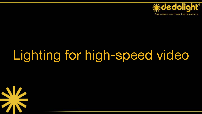

# Lighting for high-speed video

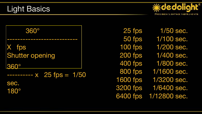



25 fps 50 fps 100 fps 200 fps 400 fps 800 fps 1600 fps 3200 fps 6400 fps

1/50 sec. 1/100 sec. 1/200 sec. 1/400 sec. 1/800 sec. 1/1600 sec. 1/3200 sec. 1/6400 sec. 1/12800 sec.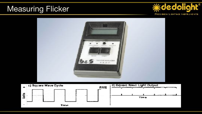#### Measuring Flicker



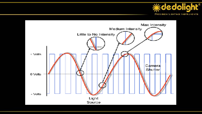

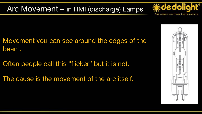Arc Movement – in HMI (discharge) Lamps



Movement you can see around the edges of the beam.

Often people call this "flicker" but it is not.

The cause is the movement of the arc itself.

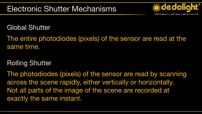

Global Shutter

The entire photodiodes (pixels) of the sensor are read at the same time.

#### Rolling Shutter

The photodiodes (pixels) of the sensor are read by scanning across the scene rapidly, either vertically or horizontally. Not all parts of the image of the scene are recorded at exactly the same instant.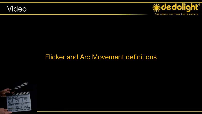



#### Flicker and Arc Movement definitions

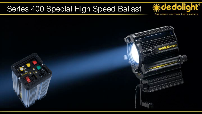#### Series 400 Special High Speed Ballast



PREGISION LIGHTING INSTRUMENTS

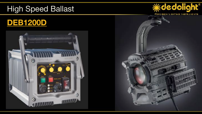#### High Speed Ballast

#### **DEB1200D**





PREGISION LIGHTING INSTRUMENTS

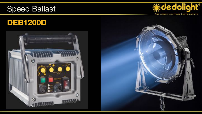#### Speed Ballast







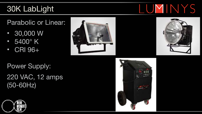## 30K LabLight

Parabolic or Linear:

- 30,000 W
- $5400^\circ$  K
- CRI 96+





Power Supply: 220 VAC, 12 amps (50-60Hz)





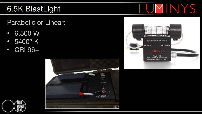#### 6.5K BlastLight

Parabolic or Linear:

- 6,500 W
- 5400° K
- CRI 96+







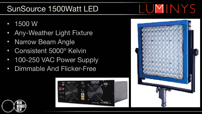## SunSource 1500Watt LED

- 1500 W
- Any-Weather Light Fixture
- Narrow Beam Angle
- Consistent 5000º Kelvin
- 100-250 VAC Power Supply
- Dimmable And Flicker-Free







LUMINYS